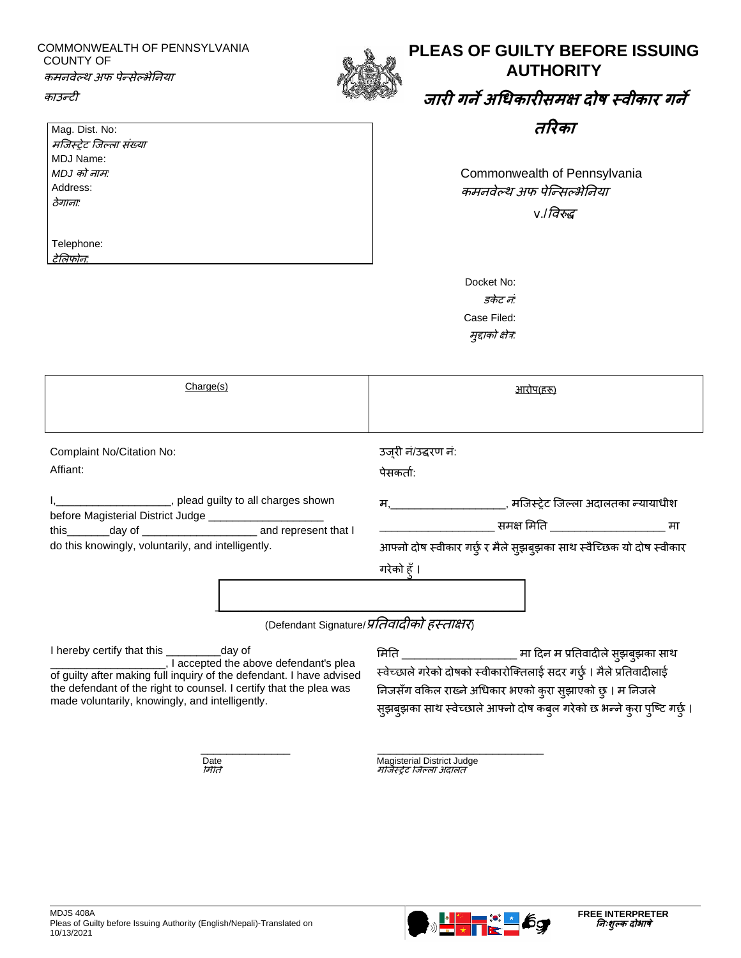#### COMMONWEALTH OF PENNSYLVANIA COUNTY OF कमनवेल्थ अफ पेन्सेल्भेननया



## **PLEAS OF GUILTY BEFORE ISSUING AUTHORITY**

# **जारी ग ेअधिकारीसमक्ष दोष स्वीकार ग े**

**तररका**

Commonwealth of Pennsylvania कमनवेल्थ अफ पेन्न्सल्भेननया v./ववरुद्ध

| MDJ को नाम:      |  |
|------------------|--|
| Address:         |  |
| l <i>ठेगानाः</i> |  |
|                  |  |
|                  |  |
|                  |  |

Telephone: टेमलफोन*:*

काउन्टी

Mag. Dist. No: मन्जस्ट्रेट न्जल्ला संख्या

MDJ Name:

| Docket No:        |  |  |
|-------------------|--|--|
| डकेट नं           |  |  |
| Case Filed:       |  |  |
| मुद्दाको क्षेत्र: |  |  |

| Charge(s)                                                                                                                                                         | आरोप(हरू)                                                                                                                                            |  |
|-------------------------------------------------------------------------------------------------------------------------------------------------------------------|------------------------------------------------------------------------------------------------------------------------------------------------------|--|
|                                                                                                                                                                   |                                                                                                                                                      |  |
| Complaint No/Citation No:                                                                                                                                         | उज् <b>री नं/उद्धरण नं</b> :                                                                                                                         |  |
| Affiant:                                                                                                                                                          | पेसकर्ता:                                                                                                                                            |  |
| , plead guilty to all charges shown<br>before Magisterial District Judge _________________________<br>do this knowingly, voluntarily, and intelligently.          | म,_______________________, मजिस्ट्रेट जिल्ला अदालतका न्यायाधीश<br>आफ्नो दोष स्वीकार गर्छु र मैले सुझबुझका साथ स्वैच्छिक यो दोष स्वीकार<br>गरेको हँ । |  |
| (Defendant Signature/प्रतिवादीको हस्ताक्षर)                                                                                                                       |                                                                                                                                                      |  |
| I hereby certify that this _____________day of<br>, I accepted the above defendant's plea<br>of quilty often molding full inquiry of the defendant I have advised | मिति ________________________ मा दिन म प्रतिवादीले सुझबुझका साथ<br>स्वेच्छाले गरेको दोषको स्वीकारोक्तिलाई सदर गर्छ । मैले प्रतिवादीलाई               |  |

\_\_\_\_\_\_\_\_\_\_\_\_\_\_ \_\_\_\_\_\_\_\_\_\_\_\_\_\_\_\_\_\_\_\_\_\_\_\_\_\_

of guilty after making full inquiry of the defendant. I have advised the defendant of the right to counsel. I certify that the plea was made voluntarily, knowingly, and intelligently.

स्वेच्छाले गरेको दोषको स्वीकारोक्तिलाई सदर गर्छु । मैले प्रतिवादीलाई निजसँग वकिल राख्ने अधिकार भएको कुरा सुझाएको छु । म निजले सुझबुझका साथ स्वेच्छाले आफ्नो दोष कबुल गरेको छ भन्ने कुरा पुष्टि गर्छु ।

Date Magisterial District Judge ममनर् मन्जस्ट्रेट न्जल्ला अदालर्